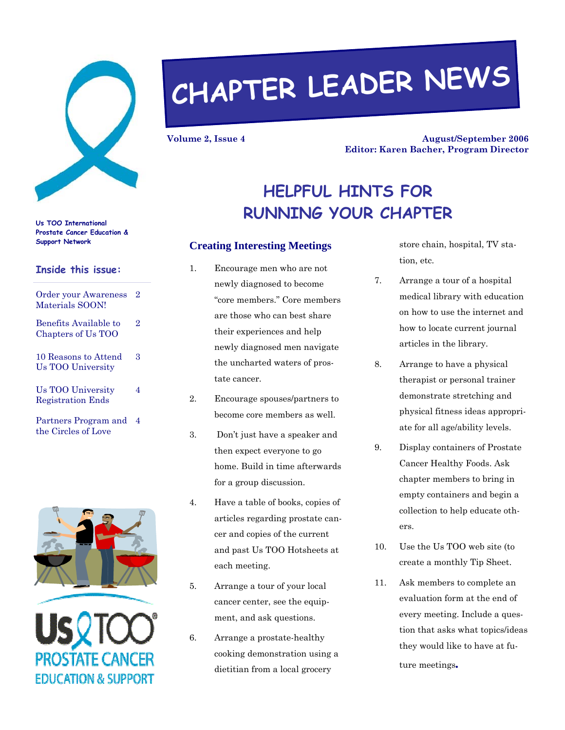

# **CHAPTER LEADER NEWS**

**Volume 2, Issue 4** 

**August/September 2006 Editor: Karen Bacher, Program Director** 

# **HELPFUL HINTS FOR RUNNING YOUR CHAPTER**

## **Support Network Creating Interesting Meetings**

- 1. Encourage men who are not newly diagnosed to become "core members." Core members are those who can best share their experiences and help newly diagnosed men navigate the uncharted waters of prostate cancer.
- 2. Encourage spouses/partners to become core members as well.
- 3. Don't just have a speaker and then expect everyone to go home. Build in time afterwards for a group discussion.
- 4. Have a table of books, copies of articles regarding prostate cancer and copies of the current and past Us TOO Hotsheets at each meeting.
- 5. Arrange a tour of your local cancer center, see the equipment, and ask questions.
- 6. Arrange a prostate-healthy cooking demonstration using a dietitian from a local grocery

store chain, hospital, TV station, etc.

- 7. Arrange a tour of a hospital medical library with education on how to use the internet and how to locate current journal articles in the library.
- 8. Arrange to have a physical therapist or personal trainer demonstrate stretching and physical fitness ideas appropriate for all age/ability levels.
- 9. Display containers of Prostate Cancer Healthy Foods. Ask chapter members to bring in empty containers and begin a collection to help educate others.
- 10. Use the Us TOO web site (to create a monthly Tip Sheet.
- 11. Ask members to complete an evaluation form at the end of every meeting. Include a question that asks what topics/ideas they would like to have at future meetings*.*

**Us TOO International Prostate Cancer Education &** 

#### **Inside this issue:**

| <b>Order your Awareness</b><br>Materials SOON!       | $\overline{2}$ |
|------------------------------------------------------|----------------|
| Benefits Available to<br>Chapters of Us TOO          | $\overline{2}$ |
| 10 Reasons to Attend<br>Us TOO University            | З              |
| <b>Us TOO University</b><br><b>Registration Ends</b> | 4              |
| Partners Program and<br>the Circles of Love          | 4              |



)STATE CANCER **EDUCATION & SUPPORT**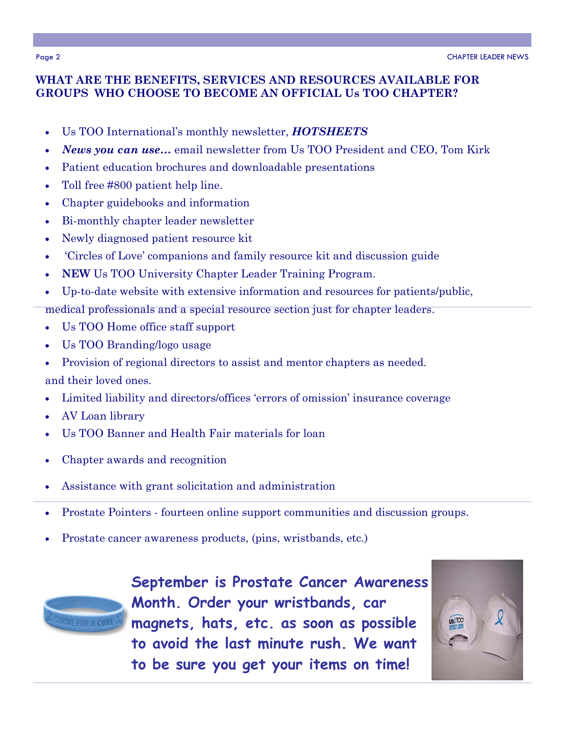### **WHAT ARE THE BENEFITS, SERVICES AND RESOURCES AVAILABLE FOR GROUPS WHO CHOOSE TO BECOME AN OFFICIAL Us TOO CHAPTER?**

- Us TOO International's monthly newsletter, *HOTSHEETS*
- *News you can use…* email newsletter from Us TOO President and CEO, Tom Kirk
- Patient education brochures and downloadable presentations
- Toll free #800 patient help line.
- Chapter guidebooks and information
- Bi-monthly chapter leader newsletter
- Newly diagnosed patient resource kit
- 'Circles of Love' companions and family resource kit and discussion guide
- **NEW** Us TOO University Chapter Leader Training Program.
- Up-to-date website with extensive information and resources for patients/public,
- medical professionals and a special resource section just for chapter leaders.
- Us TOO Home office staff support
- Us TOO Branding/logo usage
- Provision of regional directors to assist and mentor chapters as needed. and their loved ones.
- Limited liability and directors/offices 'errors of omission' insurance coverage
- AV Loan library
- Us TOO Banner and Health Fair materials for loan
- Chapter awards and recognition
- Assistance with grant solicitation and administration
- Prostate Pointers fourteen online support communities and discussion groups.
- Prostate cancer awareness products, (pins, wristbands, etc.)



**September is Prostate Cancer Awareness Month. Order your wristbands, car magnets, hats, etc. as soon as possible to avoid the last minute rush. We want to be sure you get your items on time!** 

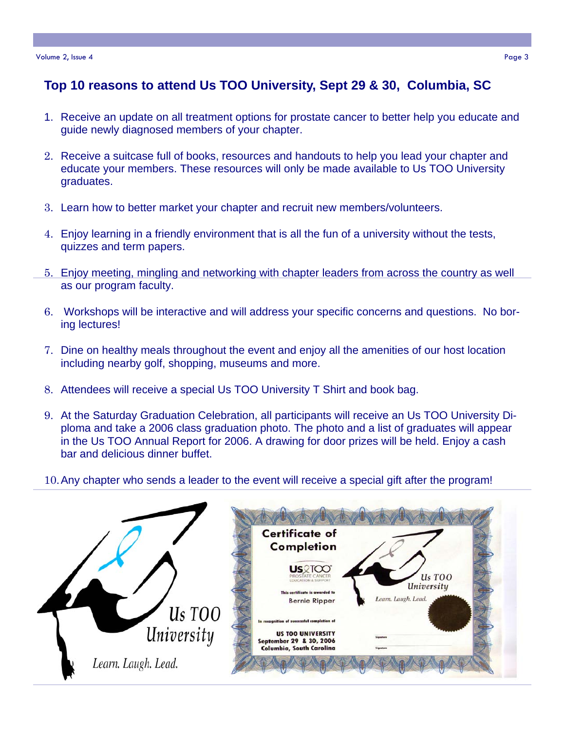# **Top 10 reasons to attend Us TOO University, Sept 29 & 30, Columbia, SC**

- 1. Receive an update on all treatment options for prostate cancer to better help you educate and guide newly diagnosed members of your chapter.
- 2. Receive a suitcase full of books, resources and handouts to help you lead your chapter and educate your members. These resources will only be made available to Us TOO University graduates.
- 3. Learn how to better market your chapter and recruit new members/volunteers.
- 4. Enjoy learning in a friendly environment that is all the fun of a university without the tests, quizzes and term papers.
- 5. Enjoy meeting, mingling and networking with chapter leaders from across the country as well as our program faculty.
- 6. Workshops will be interactive and will address your specific concerns and questions. No boring lectures!
- 7. Dine on healthy meals throughout the event and enjoy all the amenities of our host location including nearby golf, shopping, museums and more.
- 8. Attendees will receive a special Us TOO University T Shirt and book bag.
- 9. At the Saturday Graduation Celebration, all participants will receive an Us TOO University Diploma and take a 2006 class graduation photo. The photo and a list of graduates will appear in the Us TOO Annual Report for 2006. A drawing for door prizes will be held. Enjoy a cash bar and delicious dinner buffet.
- 10. Any chapter who sends a leader to the event will receive a special gift after the program!